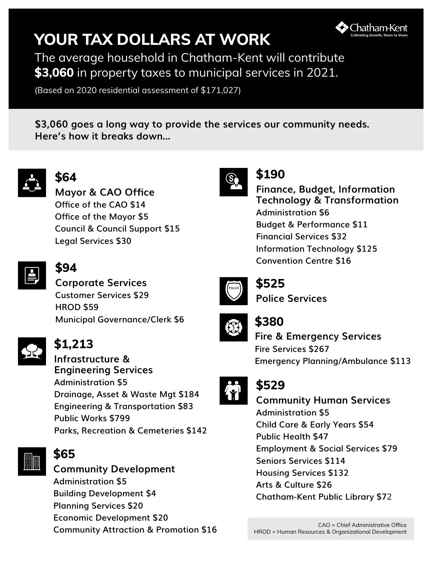# **YOUR TAX DOLLARS AT WORK**



The average household in Chatham-Kent will contribute **\$3,060** in property taxes to municipal services in 2021.

(Based on 2020 residential assessment of \$171,027)

**\$3,060 goes a long way to provide the services our community needs. Here's how it breaks down...**



# **\$64**

**Mayor & CAO Office Office of the CAO \$14 Office of the Mayor \$5 Council & Council Support \$15 Legal Services \$30**



# **\$94**

**Corporate Services Customer Services \$29 HROD \$59 Municipal Governance/Clerk \$6**



# **\$1,213**

**Infrastructure & Engineering Services Administration \$5 Drainage, Asset & Waste Mgt \$184 Engineering & Transportation \$83 Public Works \$799 Parks, Recreation & Cemeteries \$142**



### **\$65**

**Community Development Administration \$5 Building Development \$4 Planning Services \$20 Economic Development \$20 Community Attraction & Promotion \$16**



## **\$190**

**Finance, Budget, Information Technology & Transformation Administration \$6 Budget & Performance \$11 Financial Services \$32 Information Technology \$125 Convention Centre \$16**



# **\$525**

**Police Services** 



### **\$380**

**Fire & Emergency Services Fire Services \$267 Emergency Planning/Ambulance \$113**



**Community Human Services Administration \$5 Child Care & Early Years \$54 Public Health \$47**

**Employment & Social Services \$79 Seniors Services \$114 Housing Services \$132**

**Arts & Culture \$26**

**Chatham-Kent Public Library \$7**2